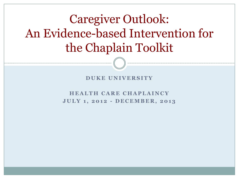# Caregiver Outlook: An Evidence-based Intervention for the Chaplain Toolkit

#### **D U K E U N I V E R S I T Y**

#### **H E A L T H C A R E C H A P L A I N C Y J U L Y 1 , 2 0 1 2 - D E C E M B E R , 2 0 1 3**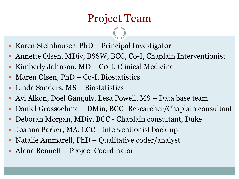### Project Team

- Karen Steinhauser, PhD Principal Investigator
- Annette Olsen, MDiv, BSSW, BCC, Co-I, Chaplain Interventionist
- Kimberly Johnson, MD C0-I, Clinical Medicine
- Maren Olsen, PhD Co-I, Biostatistics
- Linda Sanders, MS Biostatistics
- Avi Alkon, Doel Ganguly, Lesa Powell, MS Data base team
- Daniel Grossoehme DMin, BCC -Researcher/Chaplain consultant
- Deborah Morgan, MDiv, BCC Chaplain consultant, Duke
- Joanna Parker, MA, LCC –Interventionist back-up
- Natalie Ammarell, PhD Qualitative coder/analyst
- Alana Bennett Project Coordinator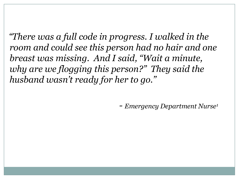*"There was a full code in progress. I walked in the room and could see this person had no hair and one breast was missing. And I said, "Wait a minute, why are we flogging this person?" They said the husband wasn't ready for her to go."* 

*- Emergency Department Nurse<sup>1</sup>*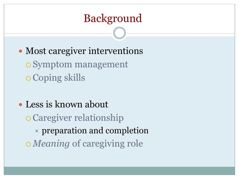# Background

• Most caregiver interventions Symptom management Coping skills

• Less is known about Caregiver relationship  $\triangleright$  preparation and completion *Meaning* of caregiving role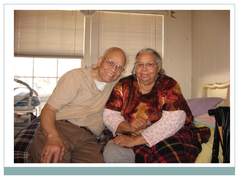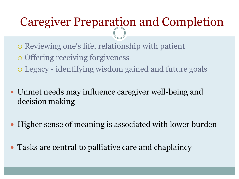# Caregiver Preparation and Completion

- Reviewing one's life, relationship with patient
- Offering receiving forgiveness
- Legacy identifying wisdom gained and future goals
- Unmet needs may influence caregiver well-being and decision making
- Higher sense of meaning is associated with lower burden
- Tasks are central to palliative care and chaplaincy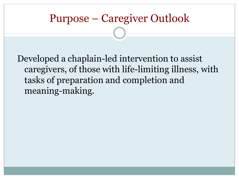#### Purpose – Caregiver Outlook

Developed a chaplain-led intervention to assist caregivers, of those with life-limiting illness, with tasks of preparation and completion and meaning-making.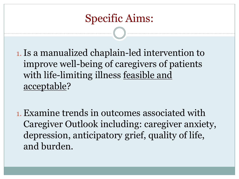### Specific Aims:

1.Is a manualized chaplain-led intervention to improve well-being of caregivers of patients with life-limiting illness <u>feasible and</u> acceptable?

1. Examine trends in outcomes associated with Caregiver Outlook including: caregiver anxiety, depression, anticipatory grief, quality of life, and burden.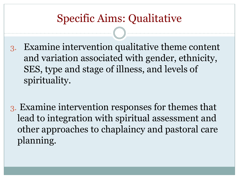## Specific Aims: Qualitative

- 3. Examine intervention qualitative theme content and variation associated with gender, ethnicity, SES, type and stage of illness, and levels of spirituality.
- 3. Examine intervention responses for themes that lead to integration with spiritual assessment and other approaches to chaplaincy and pastoral care planning.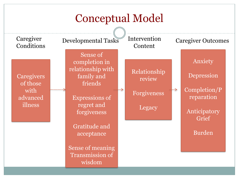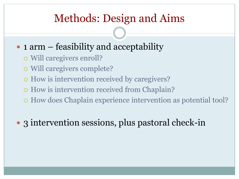# Methods: Design and Aims

- 1 arm feasibility and acceptability
	- Will caregivers enroll?
	- Will caregivers complete?
	- How is intervention received by caregivers?
	- How is intervention received from Chaplain?
	- How does Chaplain experience intervention as potential tool?
- 3 intervention sessions, plus pastoral check-in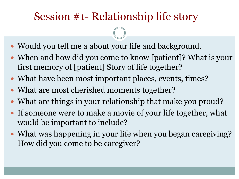# Session #1- Relationship life story

- Would you tell me a about your life and background.
- When and how did you come to know [patient]? What is your first memory of [patient] Story of life together?
- What have been most important places, events, times?
- What are most cherished moments together?
- What are things in your relationship that make you proud?
- If someone were to make a movie of your life together, what would be important to include?
- What was happening in your life when you began caregiving? How did you come to be caregiver?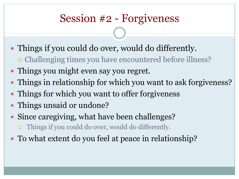#### Session #2 - Forgiveness

- Things if you could do over, would do differently.
	- Challenging times you have encountered before illness?
- Things you might even say you regret.
- Things in relationship for which you want to ask forgiveness?
- Things for which you want to offer forgiveness
- Things unsaid or undone?
- Since caregiving, what have been challenges?
	- Things if you could do over, would do differently.
- To what extent do you feel at peace in relationship?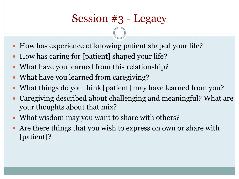# Session #3 - Legacy

- How has experience of knowing patient shaped your life?
- How has caring for [patient] shaped your life?
- What have you learned from this relationship?
- What have you learned from caregiving?
- What things do you think [patient] may have learned from you?
- Caregiving described about challenging and meaningful? What are your thoughts about that mix?
- What wisdom may you want to share with others?
- Are there things that you wish to express on own or share with [patient]?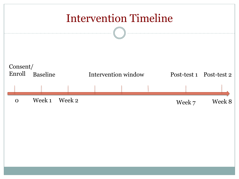